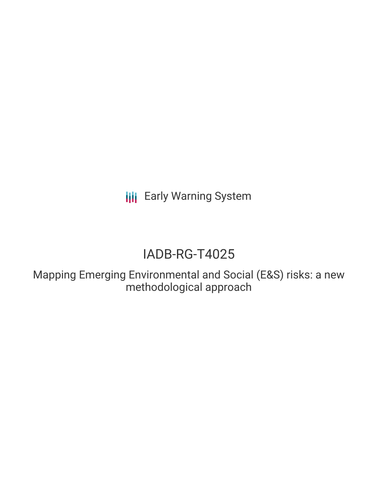**III** Early Warning System

# IADB-RG-T4025

Mapping Emerging Environmental and Social (E&S) risks: a new methodological approach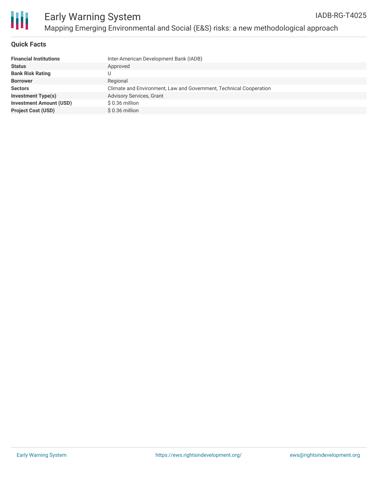

Ш

#### **Quick Facts**

| <b>Financial Institutions</b>  | Inter-American Development Bank (IADB)                             |
|--------------------------------|--------------------------------------------------------------------|
| <b>Status</b>                  | Approved                                                           |
| <b>Bank Risk Rating</b>        |                                                                    |
| <b>Borrower</b>                | Regional                                                           |
| <b>Sectors</b>                 | Climate and Environment, Law and Government, Technical Cooperation |
| <b>Investment Type(s)</b>      | <b>Advisory Services, Grant</b>                                    |
| <b>Investment Amount (USD)</b> | $$0.36$ million                                                    |
| <b>Project Cost (USD)</b>      | $$0.36$ million                                                    |
|                                |                                                                    |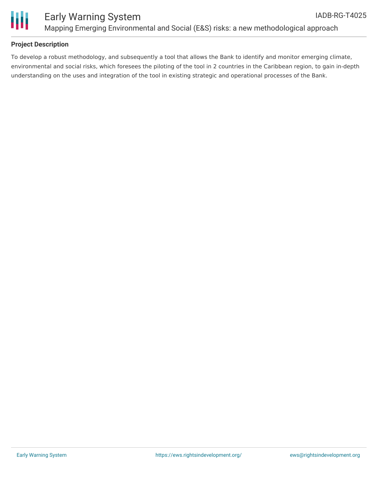

#### **Project Description**

To develop a robust methodology, and subsequently a tool that allows the Bank to identify and monitor emerging climate, environmental and social risks, which foresees the piloting of the tool in 2 countries in the Caribbean region, to gain in-depth understanding on the uses and integration of the tool in existing strategic and operational processes of the Bank.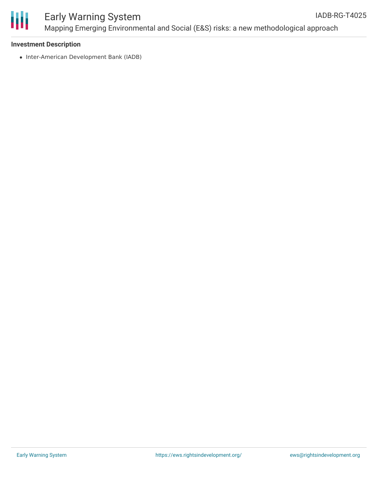

#### **Investment Description**

• Inter-American Development Bank (IADB)